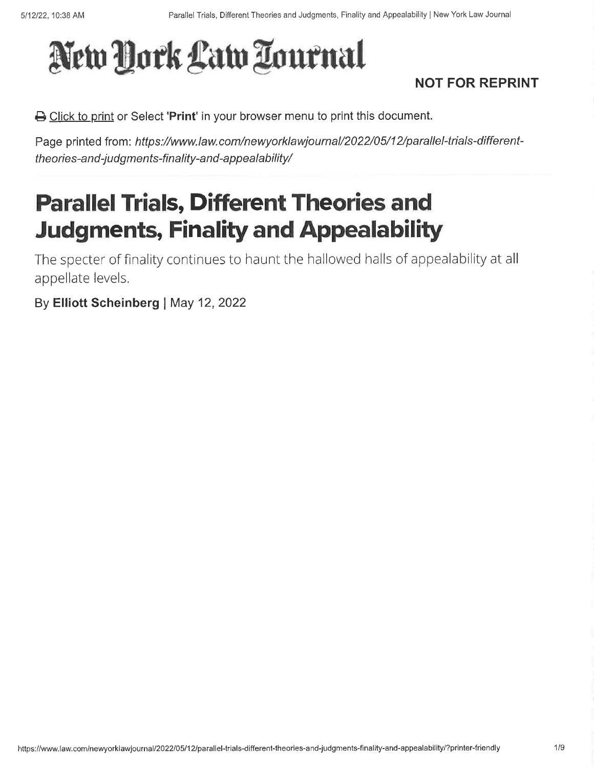# New York Law Tournal

### NOT FOR REPRINT

B Click to print or Select 'Print' in your browser menu to print this document.

Page printed from: https://www.law.com/newyorklawjournal/2022/05/12/parallel-trials-differenttheories-and-judgments-finality-and-appealability/

# Parallel Trials, Different Theories and **Judgments, Finality and Appealability**

The specter of finality continues to haunt the hallowed halls of appealability at all appellate levels.

By Elliott Scheinberg | May 12, 2022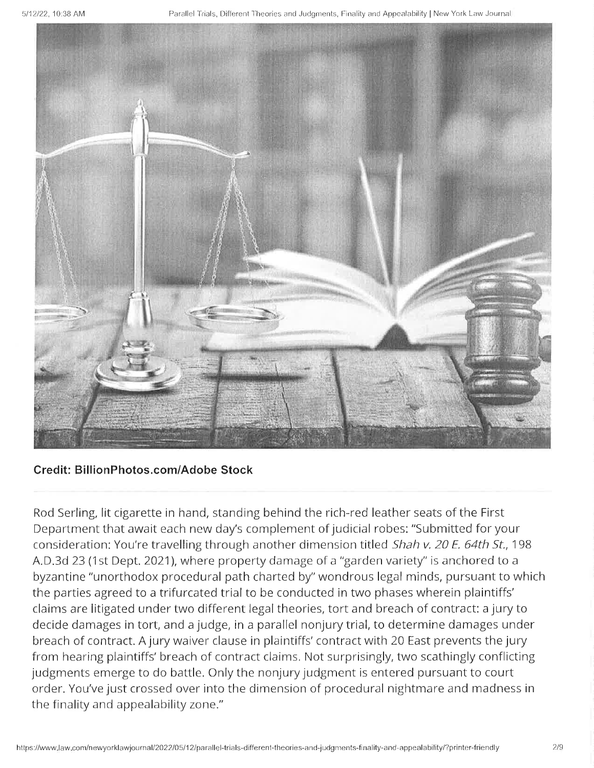

#### Credit: BillionPhotos.com/Adobe Stock

Rod Serling, lit cigarette in hand, standing behind the rich-red leather seats of the First Department that await each new day's complement of judicial robes: "Submitted for your consideration: You're travelling through another dimension titled Shah v. 20 E. 64th St., 198 A.D.3d 23 (1st Dept. 2021), where property damage of a "garden variety" is anchored to a byzantine "unorthodox procedural path charted by" wondrous legal minds, pursuant to which the parties agreed to a trifurcated trial to be conducted in two phases wherein plaintiffs' claims are litigated under two different legal theories, tort and breach of contract: a jury to decide damages in tort, and a judge, in a parallel nonjurytrial, to determine damages under breach of contract. A jury waiver clause in plaintiffs'contract with 20 East prevents the jury from hearing plaintiffs' breach of contract claims. Not surprisingly, two scathingly conflicting judgments emerge to do battle. Only the nonjury judgment is entered pursuant to court order. You've just crossed over into the dimension of procedural nightmare and madness in the finality and appealability zone."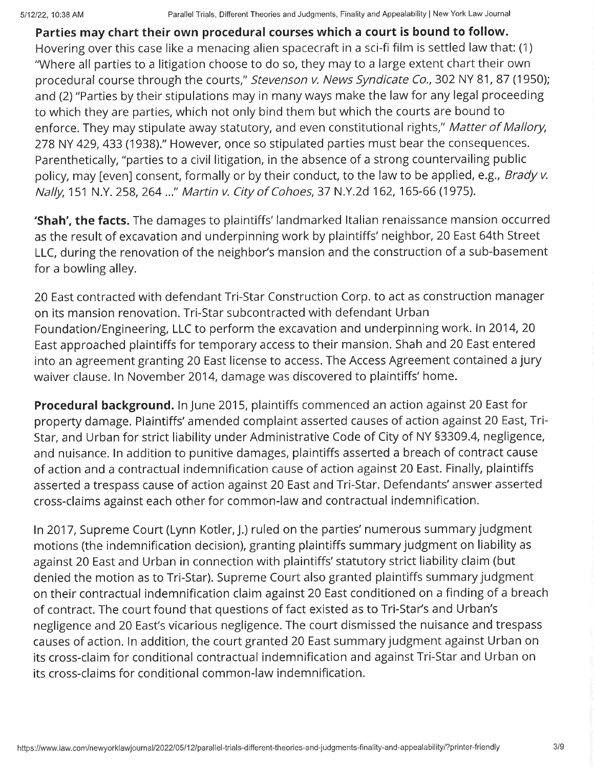Parties may chart their own procedural courses which a court is bound to follow. Hovering over this case like a menacing alien spacecraft in a sci-fi film is settled law that: (1) "Where all parties to a litigation choose to do so, they may to a large extent chart their own procedural course through the courts," Stevenson v. News Syndicate Co., 302 NY 81, 87 (1950); and (2) "Parties by their stipulations may in many ways make the law for any legal proceeding to which they are parties, which not only bind them but which the courts are bound to enforce. They may stipulate away statutory, and even constitutional rights," Matter of Mallory, 278 NY 429, 433 (1938)." However, once so stipulated parties must bear the consequences. Parenthetically, "parties to a civil litigation, in the absence of a strong countervailing public policy, may [even] consent, formally or by their conduct, to the law to be applied, e.g., Brady v. Nally, 151 N.Y. 258, 264 ..." Martin v. City of Cohoes, 37 N.Y.2d 162, 165-66 (1975).

**'Shah', the facts.** The damages to plaintiffs' landmarked Italian renaissance mansion occurred as the result of excavation and underpinning work by plaintiffs' neighbor, 20 East 64th Street LLC, during the renovation of the neighbor's mansion and the construction of a sub-basement for a bowling alley.

20 East contracted with defendant Tri-Star Construction Corp. to act as construction manager on its mansion renovation. Tri-Star subcontracted with defendant Urban Foundation/Engineering, LLC to perform the excavation and underpinning work. ln 2014,20 East approached plaintiffs for temporary access to their mansion. Shah and 20 East entered into an agreement granting 20 East license to access. The Access Agreement contained a jury waiver clause. ln November 2014, damage was discovered to plaintiffs' home.

**Procedural background.** In June 2015, plaintiffs commenced an action against 20 East for property damage. Plaintiffs' amended complaint asserted causes of action against 20 East, Tri-Star, and Urban for strict liability under Administrative Code of City of NY 53309.4, negligence, and nuisance. ln addition to punitive damages, plaintiffs asserted a breach of contract cause of action and a contractual indemnification cause of action against20 East. Finally, plaintiffs asserted a trespass cause of action against 20 East and Tri-Star. Defendants'answer asserted cross-claims against each other for common-law and contractual indemnification.

ln 2017, Supreme Court (Lynn Kotler, J.) ruled on the parties' numerous summary judgment motions (the indemnification decision), granting plaintiffs summary judgment on liability as against 20 East and Urban in connection with plaintiffs' statutory strict liability claim (but denied the motion as to Tri-Star). Supreme Court also granted plaintiffs summary judgment on their contractual indemnification claim against 20 East conditioned on a finding of a breach of contract. The court found that questions of fact existed as to Tri-Star's and Urban's negligence and 20 East's vicarious negligence. The court dismissed the nuisance and trespass causes of action. ln addition, the court granted 20 East summary judgment against Urban on its cross-claim for conditional contractual indemnification and against Tri-Star and Urban on its cross-claims for conditional common-law indemnification.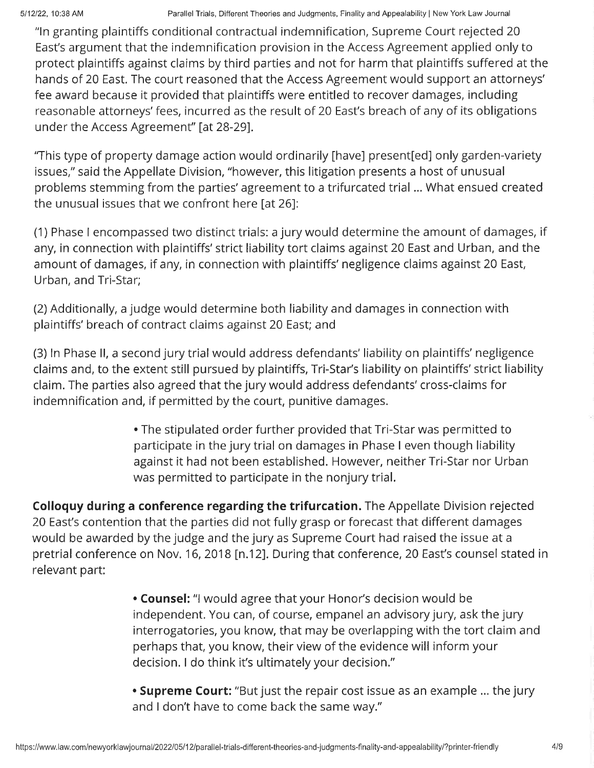"ln granting plaintiffs conditional contractual indemnification, Supreme Court rejected 20 East's argument that the indemnification provision in the Access Agreement applied only to protect plaintiffs against claims by third parties and not for harm that plaintiffs suffered at the hands of 20 East. The court reasoned that the Access Agreement would support an attorneys' fee award because it provided that plaintiffs were entitled to recover damages, including reasonable attorneys'fees, incurred as the result of 20 East's breach of any of its obligations under the Access Agreement" [at 28-29].

"This type of property damage action would ordinarily [have] present[ed] only garden-variety issues," said the Appellate Division, "however, this litigation presents a host of unusual problems stemming from the parties'agreement to a trifurcated trial ... What ensued created the unusual issues that we confront here [at 26]:

(1) Phase I encompassed two distinct trials: a jury would determine the amount of damages, if any, in connection with plaintiffs'strict liability tort claims against 20 East and Urban, and the amount of damages, if any, in connection with plaintiffs' negligence claims against 20 East, Urban, and Tri-Star;

(2)Additionally, a judge would determine both liability and damages in connection with plaintiffs' breach of contract claims against 20 East; and

(3) ln Phase ll, a second jury trial would address defendants' liability on plaintiffs' negligence claims and, to the extent still pursued by plaintiffs, Tri-Star's liability on plaintiffs'strict liability claim. The parties also agreed that the jury would address defendants' cross-claims for indemnification and, if permitted by the court, punitive damages.

> . The stipulated order further provided that Tri-Star was permitted to participate in the jury trial on damages in Phase I even though liability against it had not been established. However, neither Tri-Star nor Urban was permitted to participate in the nonjury trial.

Colloquy during a conference regarding the trifurcation. The Appellate Division rejected 20 East's contention that the parties did not fully grasp or forecast that different damages would be awarded by the judge and the jury as Supreme Court had raised the issue at <sup>a</sup> pretrial conference on Nov. 16, 2018 [n.12]. During that conference, 20 East's counsel stated in relevant part:

> . Counsel: "l would agree that your Honor's decision would be independent. You can, of course, empanel an advisory jury, ask the jury interrogatories, you know, that may be overlapping with the tort claim and perhaps that, you know, their view of the evidence will inform your decision. I do think it's ultimately your decision."

**. Supreme Court:** "But just the repair cost issue as an example ... the jury and I don't have to come back the same way."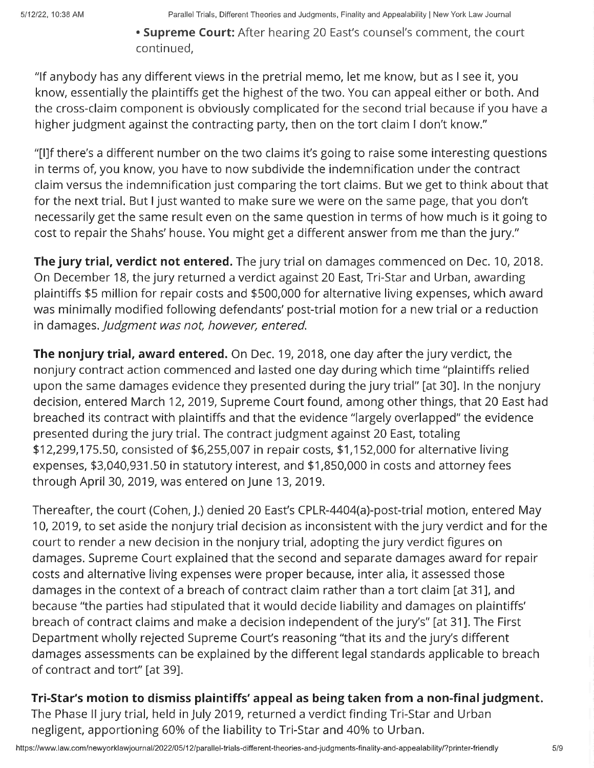• Supreme Court: After hearing 20 East's counsel's comment, the court continued,

"lf anybody has any different views in the pretrial memo, let me know, but as I see it, you know, essentially the plaintiffs get the highest of the two. You can appeal either or both. And the cross-claim component is obviously complicated for the second trial because if you have a higher judgment against the contracting party, then on the tort claim I don't know."

"[]f there's a different number on the two claims it's going to raise some interesting questions in terms of, you know, you have to now subdivide the indemnification under the contract claim versus the indemnification just comparing the tort claims. But we get to think about that for the next trial. But I just wanted to make sure we were on the same page, that you don't necessarily get the same result even on the same question in terms of how much is it going to cost to repair the Shahs' house. You might get a different answer from me than the jury."

The jury trial, verdict not entered. The jury trial on damages commenced on Dec. 10, 2018. On December 18, the jury returned a verdict against 20 East, Tri-Star and Urban, awarding plaintiffs \$5 million for repair costs and \$500,000 for alternative living expenses, which award was minimally modified following defendants' post-trial motion for a new trial or a reduction in damages, Judgment was not, however, entered.

The nonjury trial, award entered. On Dec. 19, 2018, one day after the jury verdict, the nonjury contract action commenced and lasted one day during which time "plaintiffs relied upon the same damages evidence they presented during the jury trial" [at 30]. In the nonjury decision, entered March 12,2019, Supreme Court found, among other things, that 20 East had breached its contract with plaintiffs and that the evidence "largely overlapped" the evidence presented during the jury trial. The contract judgment against 20 East, totaling \$12,299,175.50, consisted of \$6,255,007 in repair costs, \$1,152,000 for alternative living expenses, \$3,040,931.50 in statutory interest, and \$1,850,000 in costs and attorney fees through April 30, 2019, was entered on June 13, 2019.

Thereafter, the court (Cohen, J.) denied 20 East's CPlR-4404(a)-post-trial motion, entered May 10,2019, to set aside the nonjury trial decision as inconsistent with the jury verdict and for the court to render a new decision in the nonjury trial, adopting the jury verdict figures on damages. Supreme Court explained that the second and separate damages award for repair costs and alternative living expenses were proper because, inter alia, it assessed those damages in the context of a breach of contract claim rather than a tort claim [at 31], and because "the parties had stipulated that it would decide liability and damages on plaintiffs' breach of contract claims and make a decision independent of the jury's" [at 31]. The First Department wholly rejected Supreme Court's reasoning "that its and the jury's different damages assessments can be explained by the different legal standards applicable to breach of contract and tort" [at 39].

#### Tri-Star's motion to dismiss plaintiffs'appeal as being taken from a non-finaljudgment.

The Phase lljury trial, held in July 2019, returned a verdict finding Tri-Star and Urban negligent, apportioning 60% of the liability to Tri-Star and 40% to Urban.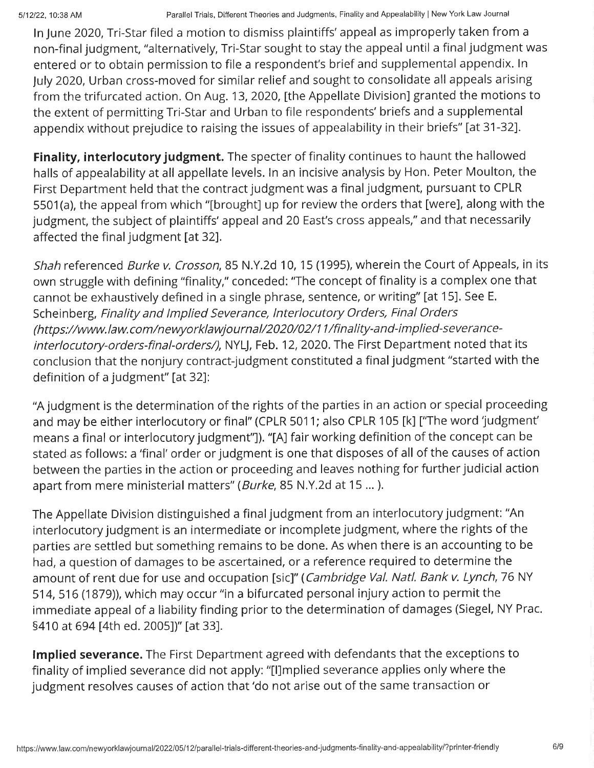In June 2020, Tri-Star filed a motion to dismiss plaintiffs' appeal as improperly taken from a non-final judgment, "alternatively, Tri-Star sought to stay the appeal until a final judgment was entered or to obtain permission to file a respondent's brief and supplemental appendix. ln July 2020, Urban cross-moved for similar relief and sought to consolidate all appeals arising from the trifurcated action. On Aug. 13,2020, [the Appellate Division] granted the motions to the extent of permitting Tri-Star and Urban to file respondents' briefs and a supplemental appendix without prejudice to raising the issues of appealability in their briefs" [at 31-32].

**Finality, interlocutory judgment.** The specter of finality continues to haunt the hallowed halls of appealability at all appellate levels. ln an incisive analysis by Hon. Peter Moulton, the First Department held that the contract judgment was a final judgment, pursuant to CPLR 5501(a), the appeal from which "fbrought] up for review the orders that [were], along with the judgment, the subject of plaintiffs' appeal and 20 East's cross appeals," and that necessarily affected the final judgment [at 32].

Shah referenced *Burke v. Crosson*, 85 N.Y.2d 10, 15 (1995), wherein the Court of Appeals, in its own struggle with defining "finality," conceded: "The concept of finality is a complex one that cannot be exhaustively defined in a single phrase, sentence, or writing" [at 15]. See E. Scheinberg, Finality and lmplied Severance, lnterlocutory Orders, Final Orders (https://www.law.com/newyorklawjournal/2020/02/1 1/finality-and-implied-severanceinterlocutory-orders-final-orders/), NYLJ, Feb. 12, 2020. The First Department noted that its conclusion that the nonjury contract-judgment constituted a finaljudgment "started with the definition of a judgment" [at 32]:

'A judgment is the determination of the rights of the parties in an action or special proceeding and may be either interlocutory or final" (CPLR 5011; also CPLR 105 [k] ["The word 'judgment' means a final or interlocutory judgment"]). "[A] fair working definition of the concept can be stated as follows: a 'final' order or judgment is one that disposes of all of the causes of action between the parties in the action or proceeding and leaves nothing for further judicial action apart from mere ministerial matters" (*Burke*, 85 N.Y.2d at 15 ...).

The Appellate Division distinguished a final judgment from an interlocutory judgment: "An interlocutory judgment is an intermediate or incomplete judgment, where the rights of the parties are settled but something remains to be done. As when there is an accounting to be had, a question of damages to be ascertained, or a reference required to determine the amount of rent due for use and occupation [sic]" (Cambridge Val. Natl. Bank v. Lynch, 76 NY 514,516 (1879)), which may occur "in a bifurcated personal injury action to permit the immediate appeal of a liability finding prior to the determination of damages (Siegel, NY Prac. <sup>541</sup>0 at 694 [4th ed. 2005])" lat 33].

Implied severance. The First Department agreed with defendants that the exceptions to finality of implied severance did not apply: "[]mplied severance applies only where the judgment resolves causes of action that'do not arise out of the same transaction or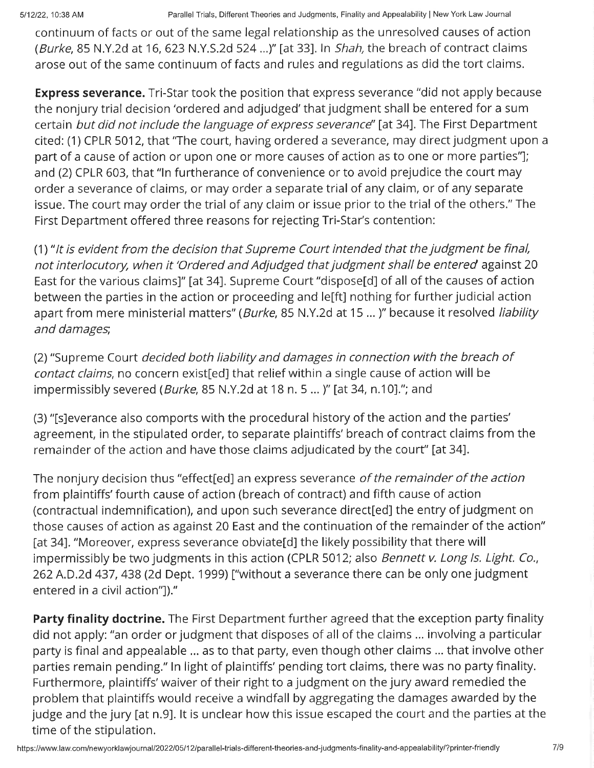5/12/22, 10:38 AM Parallel Trials, Different Theories and Judgments, Finality and Appealability | New York Law Journal

continuum of facts or out of the same legal relationship as the unresolved causes of action (Burke, 85 N.Y.2d at 16,623 N.Y.S,2d 524...)" [at 33]. ln Shah, the breach of contract claims arose out of the same continuum of facts and rules and regulations as did the tort claims.

**Express severance.** Tri-Star took the position that express severance "did not apply because the nonjury trial decision'ordered and adjudged'that judgment shall be entered for a sum certain but did not include the language of express severance" [at 34]. The First Department cited: (1)CPLR 5012, that "The court, having ordered a severance, may direct judgment upon <sup>a</sup> part of a cause of action or upon one or more causes of action as to one or more parties"]; and (2) CPLR 603, that "ln furtherance of convenience or to avoid prejudice the court may order a severance of claims, or may order a separate trial of any claim, or of any separate issue. The court may order the trial of any claim or issue prior to the trial of the others." The First Department offered three reasons for rejecting Tri-Star's contention:

(1) " lt is evident from the decision that Supreme Court intended that the judgment be final, not interlocutory, when it'Ordered and Adjudged that judgment shall be entered against 20 East for the various claims]" [at 34]. Supreme Court "dispose[d] of all of the causes of action between the parties in the action or proceeding and le[ft] nothing for further judicial action apart from mere ministerial matters" (Burke, 85 N.Y.2d at 15 ... )" because it resolved liability and damages,

(2)"Supreme Court decided both liability and damages in connection with the breach of contact claims, no concern exist[ed] that relief within a single cause of action will be impermissibly severed (*Burke*, 85 N.Y.2d at 18 n. 5 ... )" [at 34, n.10]."; and

(3)"fs]everance also comports with the procedural history of the action and the parties' agreement, in the stipulated order, to separate plaintiffs' breach of contract claims from the remainder of the action and have those claims adjudicated by the court" [at 34].

The nonjury decision thus "effect[ed] an express severance of the remainder of the action from plaintiffs'fourth cause of action (breach of contract) and fifth cause of action (contractual indemnification), and upon such severance direct[ed] the entry of judgment on those causes of action as against 20 East and the continuation of the remainder of the action" [at 34]. "Moreover, express severance obviate[d] the likely possibility that there will impermissibly be two judgments in this action (CPLR 5012; also *Bennett v. Long Is. Light. Co.*, 262 A.D.2d 437, 438 (2d Dept. 1999) ["without a severance there can be only one judgment entered in a civil action"])."

Party finality doctrine. The First Department further agreed that the exception party finality did not apply: "an order or judgment that disposes of all of the claims ... involving a particular party is final and appealable ... as to that party, even though other claims ... that involve other parties remain pending." ln light of plaintiffs' pending tort claims, there was no party finality. Furthermore, plaintiffs'waiver of their right to a judgment on the jury award remedied the problem that plaintiffs would receive a windfall by aggregating the damages awarded by the judge and the jury [at n.9]. It is unclear how this issue escaped the court and the parties at the time of the stipulation.